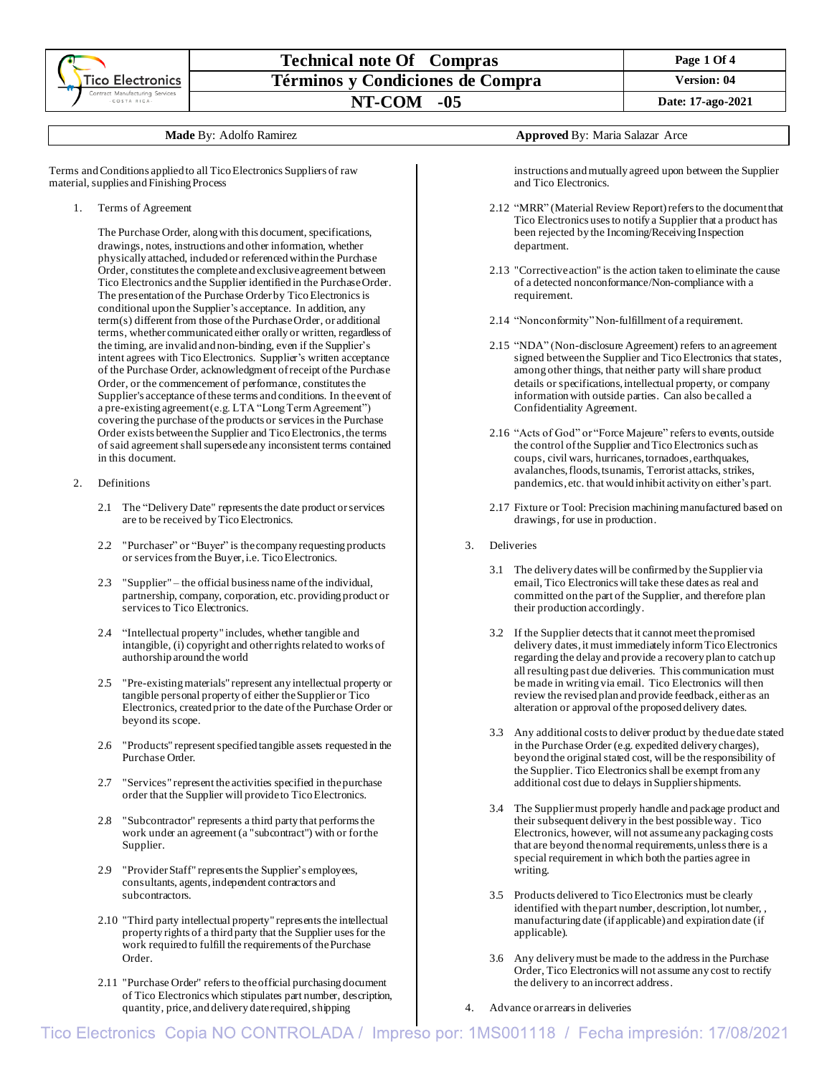

### **Technical note Of Compras Page 1 Page 1 Page 1 Of 4 Términos y Condiciones de Compra Version: 04 NT-COM -05 Date: 17-ago-2021**

Terms and Conditions applied to all Tico Electronics Suppliers of raw material, supplies and Finishing Process

1. Terms of Agreement

The Purchase Order, along with this document, specifications, drawings, notes, instructions and other information, whether physically attached, included or referenced within the Purchase Order, constitutes the complete and exclusive agreement between Tico Electronics and the Supplier identified in the Purchase Order. The presentation of the Purchase Order by Tico Electronicsis conditional upon the Supplier's acceptance. In addition, any term(s) different from those of the Purchase Order, or additional terms, whether communicated either orally or written, regardless of the timing, are invalid and non-binding, even if the Supplier's intent agrees with Tico Electronics. Supplier's written acceptance of the Purchase Order, acknowledgment of receipt of the Purchase Order, or the commencement of performance, constitutes the Supplier's acceptance of these terms and conditions. In the event of a pre-existing agreement (e.g. LTA "Long Term Agreement") covering the purchase of the products or services in the Purchase Order exists between the Supplier and Tico Electronics, the terms of said agreement shall supersede any inconsistent terms contained in this document.

- 2. Definitions
	- 2.1 The "Delivery Date" represents the date product or services are to be received by Tico Electronics.
	- 2.2 "Purchaser" or "Buyer" is the company requesting products or services from the Buyer, i.e. Tico Electronics.
	- 2.3 "Supplier" the official business name of the individual, partnership, company, corporation, etc. providing product or services to Tico Electronics.
	- 2.4 "Intellectual property" includes, whether tangible and intangible, (i) copyright and other rights related to works of authorship around the world
	- 2.5 "Pre-existing materials" represent any intellectual property or tangible personal property of either the Supplier or Tico Electronics, created prior to the date of the Purchase Order or beyond its scope.
	- 2.6 "Products" represent specified tangible assets requested in the Purchase Order.
	- 2.7 "Services" represent the activities specified in the purchase order that the Supplier will provide to Tico Electronics.
	- 2.8 "Subcontractor" represents a third party that performs the work under an agreement (a "subcontract") with or forthe Supplier.
	- 2.9 "Provider Staff" represents the Supplier's employees, consultants, agents, independent contractors and subcontractors.
	- 2.10 "Third party intellectual property" represents the intellectual property rights of a third party that the Supplier uses for the work required to fulfill the requirements of the Purchase Order.
	- 2.11 "Purchase Order" refers to the official purchasing document of Tico Electronics which stipulates part number, description, quantity, price, and delivery date required, shipping

**Made** By: Adolfo Ramirez **Approved** By: Maria Salazar Arce

instructions and mutually agreed upon between the Supplier and Tico Electronics.

- 2.12 "MRR" (Material Review Report) refers to the documentthat Tico Electronics uses to notify a Supplier that a product has been rejected by the Incoming/Receiving Inspection department.
- 2.13 "Corrective action" is the action taken to eliminate the cause of a detected nonconformance/Non-compliance with a requirement.
- 2.14 "Nonconformity" Non-fulfillment of a requirement.
- 2.15 "NDA" (Non-disclosure Agreement) refers to an agreement signed between the Supplier and Tico Electronics that states, among other things, that neither party will share product details or specifications, intellectual property, or company information with outside parties. Can also be called a Confidentiality Agreement.
- 2.16 "Acts of God" or "Force Majeure" refers to events, outside the control of the Supplier and Tico Electronics such as coups, civil wars, hurricanes, tornadoes, earthquakes, avalanches, floods, tsunamis, Terrorist attacks, strikes, pandemics, etc. that would inhibit activity on either's part.
- 2.17 Fixture or Tool: Precision machining manufactured based on drawings, for use in production.
- 3. Deliveries
	- 3.1 The delivery dates will be confirmed by the Supplier via email, Tico Electronics will take these dates as real and committed on the part of the Supplier, and therefore plan their production accordingly.
	- 3.2 If the Supplier detects that it cannot meet the promised delivery dates, it must immediately inform Tico Electronics regarding the delay and provide a recovery plan to catch up all resulting past due deliveries. This communication must be made in writing via email. Tico Electronics will then review the revised plan and provide feedback, either as an alteration or approval of the proposed delivery dates.
	- 3.3 Any additional coststo deliver product by the due date stated in the Purchase Order (e.g. expedited delivery charges), beyond the original stated cost, will be the responsibility of the Supplier. Tico Electronics shall be exempt from any additional cost due to delays in Supplier shipments.
	- 3.4 The Supplier must properly handle and package product and their subsequent delivery in the best possible way. Tico Electronics, however, will not assume any packaging costs that are beyond the normal requirements, unless there is a special requirement in which both the parties agree in writing.
	- 3.5 Products delivered to Tico Electronics must be clearly identified with the part number, description, lot number, , manufacturing date (if applicable) and expiration date (if applicable).
	- 3.6 Any delivery must be made to the address in the Purchase Order, Tico Electronics will not assume any cost to rectify the delivery to an incorrect address.
- 4. Advance or arrears in deliveries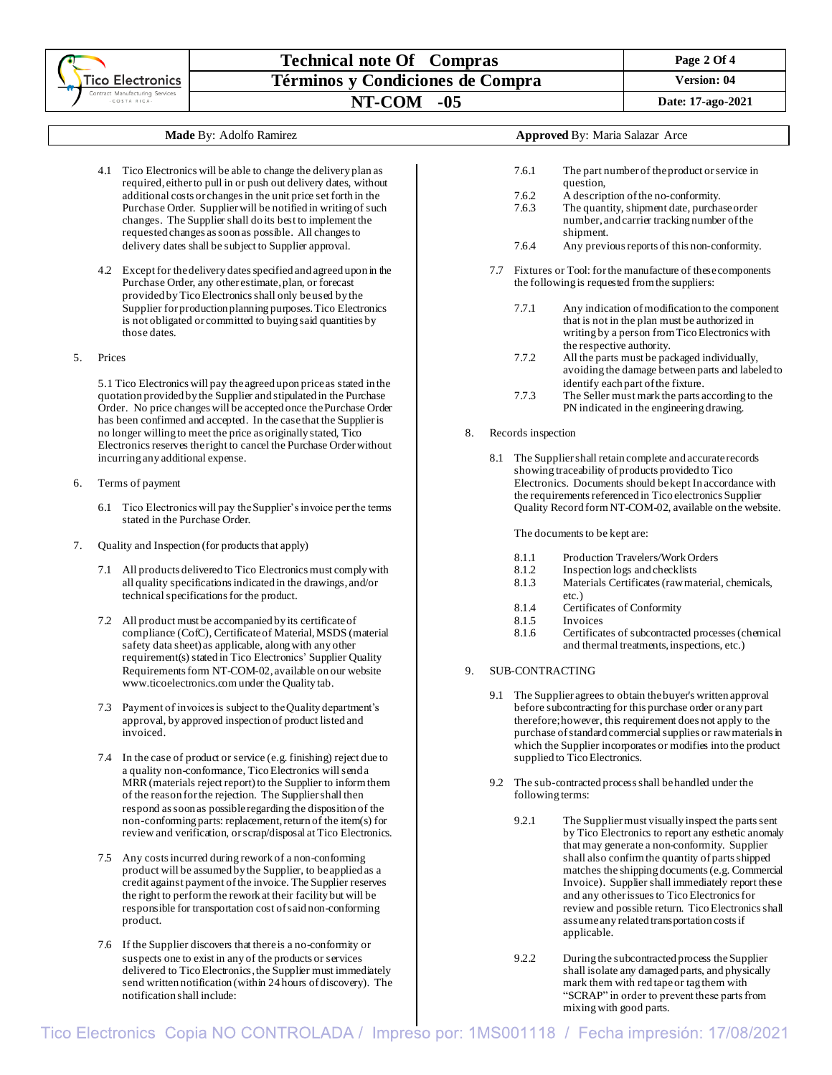|  |                                                 | <b>Technical note Of Compras</b> | Page 2 Of 4                            |  |  |  |
|--|-------------------------------------------------|----------------------------------|----------------------------------------|--|--|--|
|  | Tico Electronics                                | Términos y Condiciones de Compra | <b>Version: 04</b>                     |  |  |  |
|  | Contract Manufacturing Services<br>-COSTA RICA- | $NT-COM -05$                     | Date: 17-ago-2021                      |  |  |  |
|  |                                                 |                                  |                                        |  |  |  |
|  |                                                 | <b>Made By: Adolfo Ramirez</b>   | <b>Approved By: Maria Salazar Arce</b> |  |  |  |
|  |                                                 |                                  |                                        |  |  |  |

- 4.1 Tico Electronics will be able to change the delivery plan as required, either to pull in or push out delivery dates, without additional costs or changes in the unit price set forth in the Purchase Order. Supplier will be notified in writing of such changes. The Supplier shall do its best to implement the requested changes as soon as possible. All changes to delivery dates shall be subject to Supplier approval.
- 4.2 Except for the delivery dates specified and agreed upon in the Purchase Order, any other estimate, plan, or forecast provided by Tico Electronics shall only be used by the Supplier for production planning purposes. Tico Electronics is not obligated or committed to buying said quantities by those dates.
- 5. Prices

5.1 Tico Electronics will pay the agreed upon price as stated in the quotation provided by the Supplier and stipulated in the Purchase Order. No price changes will be accepted once the Purchase Order has been confirmed and accepted. In the case that the Supplier is no longer willing to meet the price as originally stated, Tico Electronics reserves the right to cancel the Purchase Orderwithout incurring any additional expense.

- 6. Terms of payment
	- 6.1 Tico Electronics will pay the Supplier's invoice per the terms stated in the Purchase Order.
- 7. Quality and Inspection (for products that apply)
	- 7.1 All products delivered to Tico Electronics must comply with all quality specifications indicated in the drawings, and/or technical specifications for the product.
	- 7.2 All product must be accompanied by its certificate of compliance (CofC), Certificate of Material, MSDS (material safety data sheet) as applicable, along with any other requirement(s) stated in Tico Electronics' Supplier Quality Requirements form NT-COM-02, available on our website [www.ticoelectronics.com](http://www.ticoelectronics.com/)under the Quality tab.
	- 7.3 Payment of invoices is subject to the Quality department's approval, by approved inspection of product listed and invoiced.
	- 7.4 In the case of product or service (e.g. finishing) reject due to a quality non-conformance, Tico Electronics will send a MRR (materials reject report) to the Supplier to inform them of the reason for the rejection. The Supplier shall then respond as soon as possible regarding the disposition of the non-conforming parts: replacement, return of the item(s) for review and verification, or scrap/disposal at Tico Electronics.
	- 7.5 Any costs incurred during rework of a non-conforming product will be assumed by the Supplier, to be applied as a credit against payment of the invoice. The Supplier reserves the right to perform the rework at their facility but will be responsible for transportation cost of said non-conforming product.
	- 7.6 If the Supplier discovers that there is a no-conformity or suspects one to exist in any of the products or services delivered to Tico Electronics, the Supplier must immediately send written notification (within 24 hours of discovery). The notification shall include:

# 7.6.1 The part number of the product or service in

- question,
- 7.6.2 A description of the no-conformity.<br>7.6.3 The quantity, shipment date, purcha
	- The quantity, shipment date, purchase order number, and carrier tracking number of the shipment.
- 7.6.4 Any previous reports of this non-conformity.
- 7.7 Fixtures or Tool: for the manufacture of these components the following is requested from the suppliers:
	- 7.7.1 Any indication of modification to the component that is not in the plan must be authorized in writing by a person from Tico Electronics with the respective authority.
	- 7.7.2 All the parts must be packaged individually, avoiding the damage between parts and labeled to identify each part of the fixture.
	- 7.7.3 The Seller must mark the parts according to the PN indicated in the engineering drawing.
- Records inspection
	- 8.1 The Suppliershall retain complete and accurate records showing traceability of products provided to Tico Electronics. Documents should be kept In accordance with the requirements referenced in Tico electronics Supplier Quality Record form NT-COM-02, available on the website.

The documents to be kept are:

- 8.1.1 Production Travelers/Work Orders
- 8.1.2 Inspection logs and checklists
- 8.1.3 Materials Certificates (raw material, chemicals, etc.)
- 8.1.4 Certificates of Conformity
- 8.1.5 Invoices
- 8.1.6 Certificates of subcontracted processes (chemical
- and thermal treatments, inspections, etc.)
- 9. SUB-CONTRACTING
	- 9.1 The Supplier agrees to obtain the buyer's written approval before subcontracting for this purchase order or any part therefore; however, this requirement does not apply to the purchase of standard commercial supplies or raw materials in which the Supplier incorporates or modifies into the product supplied to Tico Electronics.
	- 9.2 The sub-contracted process shall be handled under the following terms:
		- 9.2.1 The Suppliermust visually inspect the parts sent by Tico Electronics to report any esthetic anomaly that may generate a non-conformity. Supplier shall also confirm the quantity of parts shipped matches the shipping documents (e.g. Commercial Invoice). Supplier shall immediately report these and any other issues to Tico Electronics for review and possible return. Tico Electronics shall assume any related transportation costs if applicable.
		- 9.2.2 During the subcontracted process the Supplier shall isolate any damaged parts, and physically mark them with red tape or tag them with "SCRAP" in order to prevent these parts from mixing with good parts.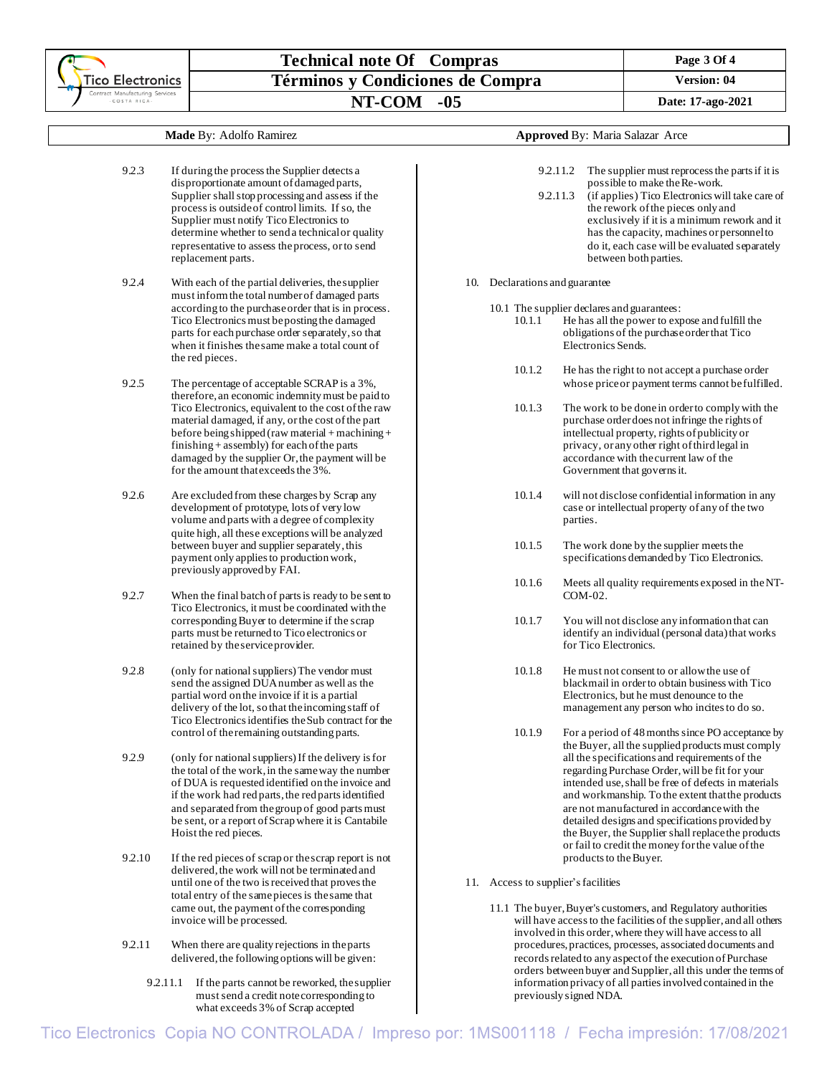### **Technical note Of Compras** Page 3 Of 4 **Términos y Condiciones de Compra Version:** 04 **NT-COM -05 Date: 17-ago-2021**

#### **Made** By: Adolfo Ramirez

- 9.2.3 If during the process the Supplier detects a disproportionate amount of damaged parts, Supplier shall stop processing and assess if the processis outside of control limits. If so, the Supplier must notify Tico Electronics to determine whether to send a technical or quality representative to assess the process, or to send replacement parts.
- 9.2.4 With each of the partial deliveries, the supplier must inform the total number of damaged parts according to the purchase order that is in process. Tico Electronics must be posting the damaged parts for each purchase order separately, so that when it finishes the same make a total count of the red pieces.
- 9.2.5 The percentage of acceptable SCRAP is a 3%, therefore, an economic indemnity must be paid to Tico Electronics, equivalent to the cost of the raw material damaged, if any, or the cost of the part before being shipped (raw material + machining + finishing  $+$  assembly) for each of the parts damaged by the supplier Or, the payment will be for the amount that exceeds the  $3\%$ .
- 9.2.6 Are excluded from these charges by Scrap any development of prototype, lots of very low volume and parts with a degree of complexity quite high, all these exceptions will be analyzed between buyer and supplier separately, this payment only applies to production work, previously approved by FAI.
- 9.2.7 When the final batch of parts is ready to be sent to Tico Electronics, it must be coordinated with the corresponding Buyer to determine if the scrap parts must be returned to Tico electronics or retained by the service provider.
- 9.2.8 (only for national suppliers)The vendor must send the assigned DUA number as well as the partial word on the invoice if it is a partial delivery of the lot, so that the incoming staff of Tico Electronics identifies the Sub contract for the control of the remaining outstanding parts.
- 9.2.9 (only for national suppliers) If the delivery is for the total of the work, in the same way the number of DUA is requested identified on the invoice and if the work had red parts, the red parts identified and separated from the group of good parts must be sent, or a report of Scrap where it is Cantabile Hoist the red pieces.
- 9.2.10 If the red pieces of scrap or the scrap report is not delivered, the work will not be terminated and until one of the two is received that provesthe total entry of the same piecesis the same that came out, the payment of the corresponding invoice will be processed.
- 9.2.11 When there are quality rejections in the parts delivered, the following options will be given:
	- 9.2.11.1 If the parts cannot be reworked, the supplier must send a credit note corresponding to what exceeds 3% of Scrap accepted

|  |  |  |  | Approved By: Maria Salazar Arce |  |
|--|--|--|--|---------------------------------|--|
|--|--|--|--|---------------------------------|--|

|     | 9.2.11.2<br>9.2.11.3            | The supplier must reprocess the parts if it is<br>possible to make the Re-work.<br>(if applies) Tico Electronics will take care of<br>the rework of the pieces only and<br>exclusively if it is a minimum rework and it<br>has the capacity, machines or personnel to<br>do it, each case will be evaluated separately<br>between both parties.                                                                                                                                                                                                           |  |  |  |  |
|-----|---------------------------------|-----------------------------------------------------------------------------------------------------------------------------------------------------------------------------------------------------------------------------------------------------------------------------------------------------------------------------------------------------------------------------------------------------------------------------------------------------------------------------------------------------------------------------------------------------------|--|--|--|--|
| 10. | Declarations and guarantee      |                                                                                                                                                                                                                                                                                                                                                                                                                                                                                                                                                           |  |  |  |  |
|     | 10.1.1                          | 10.1 The supplier declares and guarantees:<br>He has all the power to expose and fulfill the<br>obligations of the purchase order that Tico<br>Electronics Sends.                                                                                                                                                                                                                                                                                                                                                                                         |  |  |  |  |
|     | 10.1.2                          | He has the right to not accept a purchase order<br>whose price or payment terms cannot be fulfilled.                                                                                                                                                                                                                                                                                                                                                                                                                                                      |  |  |  |  |
|     | 10.1.3                          | The work to be done in order to comply with the<br>purchase order does not infringe the rights of<br>intellectual property, rights of publicity or<br>privacy, or any other right of third legal in<br>accordance with the current law of the<br>Government that governs it.                                                                                                                                                                                                                                                                              |  |  |  |  |
|     | 10.1.4                          | will not disclose confidential information in any<br>case or intellectual property of any of the two<br>parties.                                                                                                                                                                                                                                                                                                                                                                                                                                          |  |  |  |  |
|     | 10.1.5                          | The work done by the supplier meets the<br>specifications demanded by Tico Electronics.                                                                                                                                                                                                                                                                                                                                                                                                                                                                   |  |  |  |  |
|     | 10.1.6                          | Meets all quality requirements exposed in the NT-<br>COM-02.                                                                                                                                                                                                                                                                                                                                                                                                                                                                                              |  |  |  |  |
|     | 10.1.7                          | You will not disclose any information that can<br>identify an individual (personal data) that works<br>for Tico Electronics.                                                                                                                                                                                                                                                                                                                                                                                                                              |  |  |  |  |
|     | 10.1.8                          | He must not consent to or allow the use of<br>blackmail in order to obtain business with Tico<br>Electronics, but he must denounce to the<br>management any person who incites to do so.                                                                                                                                                                                                                                                                                                                                                                  |  |  |  |  |
|     | 10.1.9                          | For a period of 48 months since PO acceptance by<br>the Buyer, all the supplied products must comply<br>all the specifications and requirements of the<br>regarding Purchase Order, will be fit for your<br>intended use, shall be free of defects in materials<br>and workmanship. To the extent that the products<br>are not manufactured in accordance with the<br>detailed designs and specifications provided by<br>the Buyer, the Supplier shall replace the products<br>or fail to credit the money for the value of the<br>products to the Buyer. |  |  |  |  |
| 11. | Access to supplier's facilities |                                                                                                                                                                                                                                                                                                                                                                                                                                                                                                                                                           |  |  |  |  |

11.1 The buyer, Buyer's customers, and Regulatory authorities will have access to the facilities of the supplier, and all others involved in this order, where they will have access to all procedures, practices, processes, associated documents and records related to any aspect of the execution of Purchase orders between buyer and Supplier, all this under the terms of information privacy of all parties involved contained in the previously signed NDA.